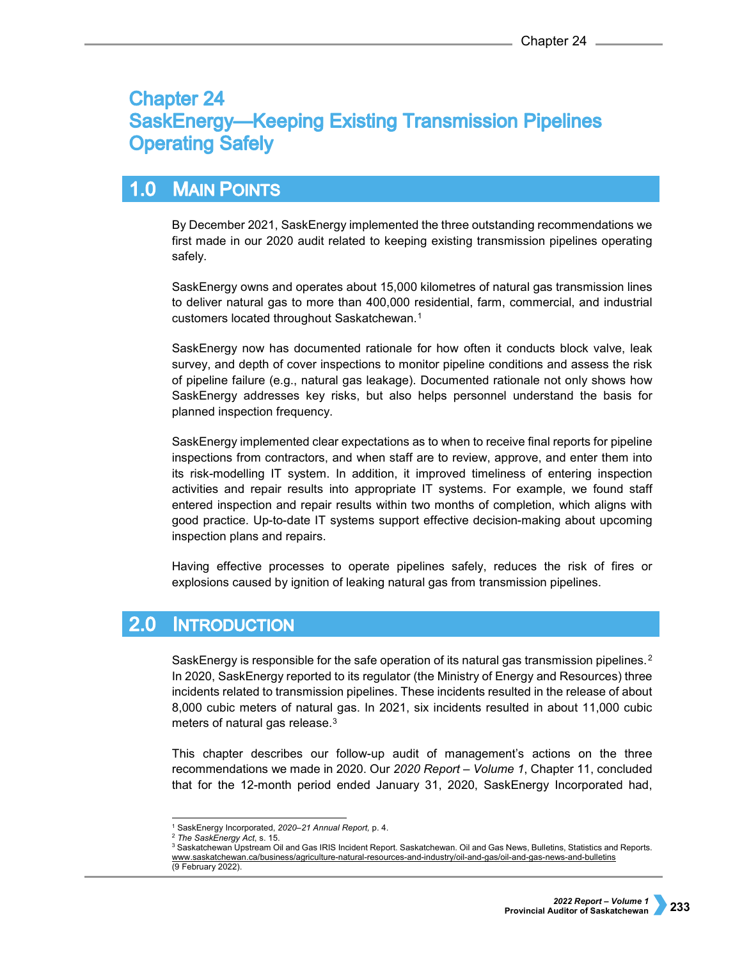# **Chapter 24 SaskEnergy-Keeping Existing Transmission Pipelines Operating Safely**

#### $1.0$ **MAIN POINTS**

By December 2021, SaskEnergy implemented the three outstanding recommendations we first made in our 2020 audit related to keeping existing transmission pipelines operating safely.

SaskEnergy owns and operates about 15,000 kilometres of natural gas transmission lines to deliver natural gas to more than 400,000 residential, farm, commercial, and industrial customers located throughout Saskatchewan.[1](#page-0-0)

SaskEnergy now has documented rationale for how often it conducts block valve, leak survey, and depth of cover inspections to monitor pipeline conditions and assess the risk of pipeline failure (e.g., natural gas leakage). Documented rationale not only shows how SaskEnergy addresses key risks, but also helps personnel understand the basis for planned inspection frequency.

SaskEnergy implemented clear expectations as to when to receive final reports for pipeline inspections from contractors, and when staff are to review, approve, and enter them into its risk-modelling IT system. In addition, it improved timeliness of entering inspection activities and repair results into appropriate IT systems. For example, we found staff entered inspection and repair results within two months of completion, which aligns with good practice. Up-to-date IT systems support effective decision-making about upcoming inspection plans and repairs.

Having effective processes to operate pipelines safely, reduces the risk of fires or explosions caused by ignition of leaking natural gas from transmission pipelines.

#### $2.0$ **INTRODUCTION**

SaskEnergy is responsible for the safe operation of its natural gas transmission pipelines.<sup>[2](#page-0-1)</sup> In 2020, SaskEnergy reported to its regulator (the Ministry of Energy and Resources) three incidents related to transmission pipelines. These incidents resulted in the release of about 8,000 cubic meters of natural gas. In 2021, six incidents resulted in about 11,000 cubic meters of natural gas release.[3](#page-0-2)

This chapter describes our follow-up audit of management's actions on the three recommendations we made in 2020. Our *2020 Report – Volume 1*, Chapter 11, concluded that for the 12-month period ended January 31, 2020, SaskEnergy Incorporated had,

<sup>-</sup><sup>1</sup> SaskEnergy Incorporated, *2020–21 Annual Report,* p. 4.

<span id="page-0-2"></span><span id="page-0-1"></span><span id="page-0-0"></span><sup>2</sup> *The SaskEnergy Act*, s. 15.

<sup>3</sup> Saskatchewan Upstream Oil and Gas IRIS Incident Report. Saskatchewan. Oil and Gas News, Bulletins, Statistics and Reports. [www.saskatchewan.ca/business/agriculture-natural-resources-and-industry/oil-and-gas/oil-and-gas-news-and-bulletins](http://www.saskatchewan.ca/business/agriculture-natural-resources-and-industry/oil-and-gas/oil-and-gas-news-and-bulletins) (9 February 2022).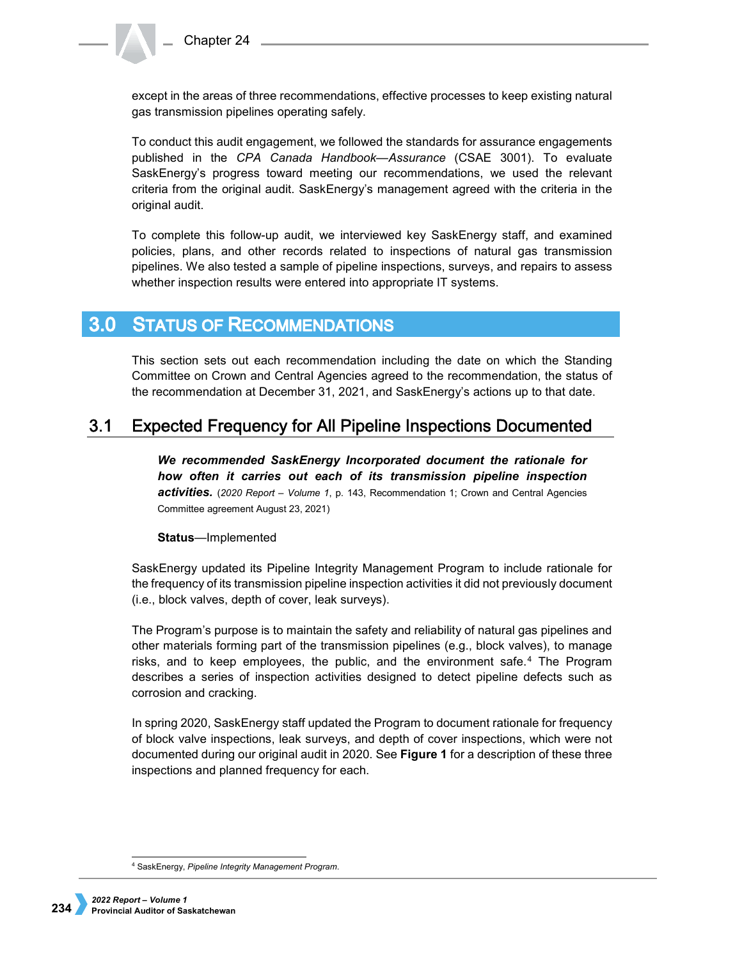except in the areas of three recommendations, effective processes to keep existing natural gas transmission pipelines operating safely.

To conduct this audit engagement, we followed the standards for assurance engagements published in the *CPA Canada Handbook—Assurance* (CSAE 3001). To evaluate SaskEnergy's progress toward meeting our recommendations, we used the relevant criteria from the original audit. SaskEnergy's management agreed with the criteria in the original audit.

To complete this follow-up audit, we interviewed key SaskEnergy staff, and examined policies, plans, and other records related to inspections of natural gas transmission pipelines. We also tested a sample of pipeline inspections, surveys, and repairs to assess whether inspection results were entered into appropriate IT systems.

#### $3.0<sub>1</sub>$ **STATUS OF RECOMMENDATIONS**

This section sets out each recommendation including the date on which the Standing Committee on Crown and Central Agencies agreed to the recommendation, the status of the recommendation at December 31, 2021, and SaskEnergy's actions up to that date.

#### $3.1$ **Expected Frequency for All Pipeline Inspections Documented**

*We recommended SaskEnergy Incorporated document the rationale for how often it carries out each of its transmission pipeline inspection activities.* (*2020 Report – Volume 1*, p. 143, Recommendation 1; Crown and Central Agencies Committee agreement August 23, 2021)

## **Status**—Implemented

SaskEnergy updated its Pipeline Integrity Management Program to include rationale for the frequency of its transmission pipeline inspection activities it did not previously document (i.e., block valves, depth of cover, leak surveys).

The Program's purpose is to maintain the safety and reliability of natural gas pipelines and other materials forming part of the transmission pipelines (e.g., block valves), to manage risks, and to keep employees, the public, and the environment safe.[4](#page-1-0) The Program describes a series of inspection activities designed to detect pipeline defects such as corrosion and cracking.

In spring 2020, SaskEnergy staff updated the Program to document rationale for frequency of block valve inspections, leak surveys, and depth of cover inspections, which were not documented during our original audit in 2020. See **Figure 1** for a description of these three inspections and planned frequency for each.

<span id="page-1-0"></span> <sup>4</sup> SaskEnergy, *Pipeline Integrity Management Program*.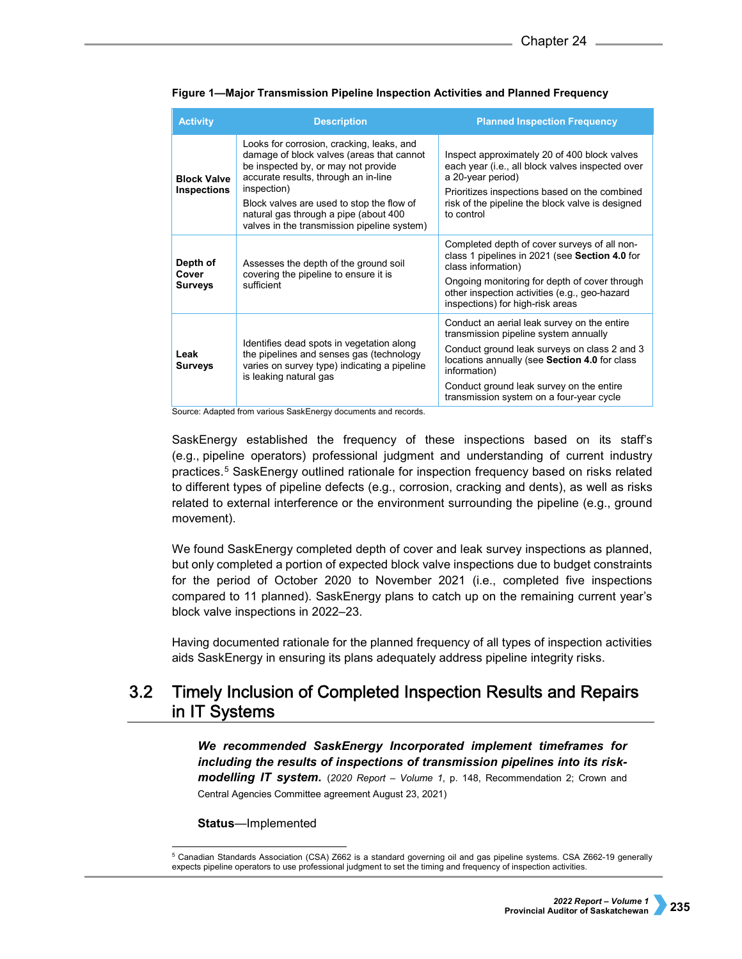| <b>Activity</b>                          | <b>Description</b>                                                                                                                                                                                                                                                                                                        | <b>Planned Inspection Frequency</b>                                                                                                                                                                                                                                                           |  |
|------------------------------------------|---------------------------------------------------------------------------------------------------------------------------------------------------------------------------------------------------------------------------------------------------------------------------------------------------------------------------|-----------------------------------------------------------------------------------------------------------------------------------------------------------------------------------------------------------------------------------------------------------------------------------------------|--|
| <b>Block Valve</b><br><b>Inspections</b> | Looks for corrosion, cracking, leaks, and<br>damage of block valves (areas that cannot<br>be inspected by, or may not provide<br>accurate results, through an in-line<br>inspection)<br>Block valves are used to stop the flow of<br>natural gas through a pipe (about 400<br>valves in the transmission pipeline system) | Inspect approximately 20 of 400 block valves<br>each year (i.e., all block valves inspected over<br>a 20-year period)<br>Prioritizes inspections based on the combined<br>risk of the pipeline the block valve is designed<br>to control                                                      |  |
| Depth of<br>Cover<br>Surveys             | Assesses the depth of the ground soil<br>covering the pipeline to ensure it is<br>sufficient                                                                                                                                                                                                                              | Completed depth of cover surveys of all non-<br>class 1 pipelines in 2021 (see Section 4.0 for<br>class information)<br>Ongoing monitoring for depth of cover through<br>other inspection activities (e.g., geo-hazard<br>inspections) for high-risk areas                                    |  |
| Leak<br><b>Surveys</b>                   | Identifies dead spots in vegetation along<br>the pipelines and senses gas (technology<br>varies on survey type) indicating a pipeline<br>is leaking natural gas                                                                                                                                                           | Conduct an aerial leak survey on the entire<br>transmission pipeline system annually<br>Conduct ground leak surveys on class 2 and 3<br>locations annually (see Section 4.0 for class<br>information)<br>Conduct ground leak survey on the entire<br>transmission system on a four-year cycle |  |

**Figure 1—Major Transmission Pipeline Inspection Activities and Planned Frequency**

Source: Adapted from various SaskEnergy documents and records.

SaskEnergy established the frequency of these inspections based on its staff's (e.g., pipeline operators) professional judgment and understanding of current industry practices.[5](#page-2-0) SaskEnergy outlined rationale for inspection frequency based on risks related to different types of pipeline defects (e.g., corrosion, cracking and dents), as well as risks related to external interference or the environment surrounding the pipeline (e.g., ground movement).

We found SaskEnergy completed depth of cover and leak survey inspections as planned, but only completed a portion of expected block valve inspections due to budget constraints for the period of October 2020 to November 2021 (i.e., completed five inspections compared to 11 planned). SaskEnergy plans to catch up on the remaining current year's block valve inspections in 2022–23.

Having documented rationale for the planned frequency of all types of inspection activities aids SaskEnergy in ensuring its plans adequately address pipeline integrity risks.

### $3.2$ Timely Inclusion of Completed Inspection Results and Repairs in IT Systems

*We recommended SaskEnergy Incorporated implement timeframes for including the results of inspections of transmission pipelines into its riskmodelling IT system.* (*2020 Report – Volume 1*, p. 148, Recommendation 2; Crown and Central Agencies Committee agreement August 23, 2021)

**Status**—Implemented

<span id="page-2-0"></span> <sup>5</sup> Canadian Standards Association (CSA) Z662 is a standard governing oil and gas pipeline systems. CSA Z662-19 generally expects pipeline operators to use professional judgment to set the timing and frequency of inspection activities.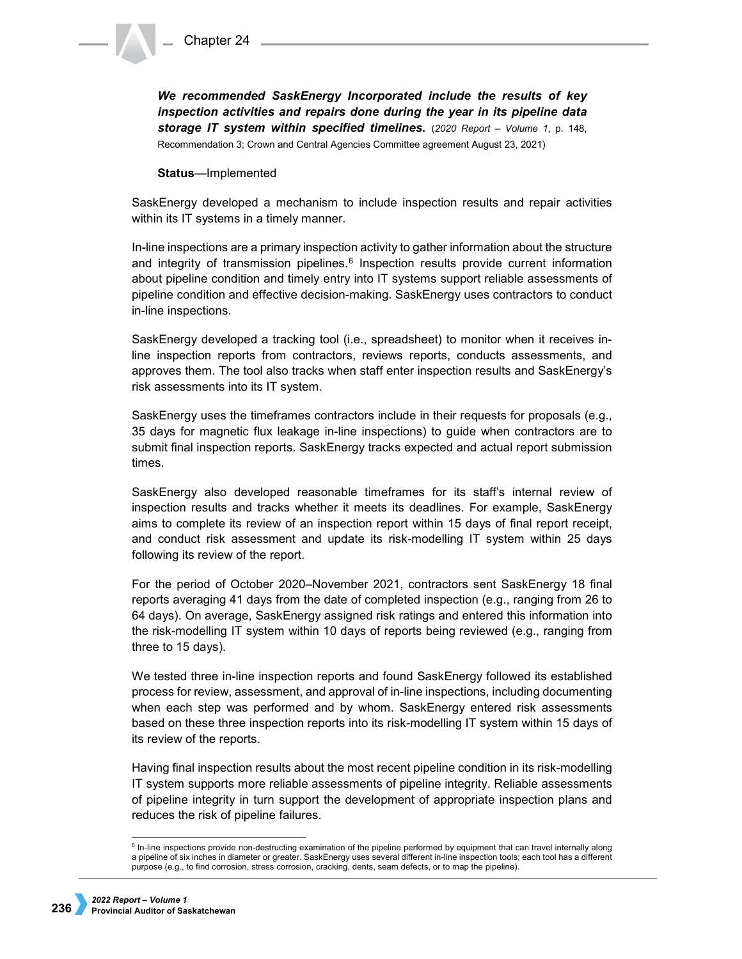*We recommended SaskEnergy Incorporated include the results of key inspection activities and repairs done during the year in its pipeline data storage IT system within specified timelines.* (*2020 Report – Volume 1*, p. 148, Recommendation 3; Crown and Central Agencies Committee agreement August 23, 2021)

**Status**—Implemented

SaskEnergy developed a mechanism to include inspection results and repair activities within its IT systems in a timely manner.

In-line inspections are a primary inspection activity to gather information about the structure and integrity of transmission pipelines. $6$  Inspection results provide current information about pipeline condition and timely entry into IT systems support reliable assessments of pipeline condition and effective decision-making. SaskEnergy uses contractors to conduct in-line inspections.

SaskEnergy developed a tracking tool (i.e., spreadsheet) to monitor when it receives inline inspection reports from contractors, reviews reports, conducts assessments, and approves them. The tool also tracks when staff enter inspection results and SaskEnergy's risk assessments into its IT system.

SaskEnergy uses the timeframes contractors include in their requests for proposals (e.g., 35 days for magnetic flux leakage in-line inspections) to guide when contractors are to submit final inspection reports. SaskEnergy tracks expected and actual report submission times.

SaskEnergy also developed reasonable timeframes for its staff's internal review of inspection results and tracks whether it meets its deadlines. For example, SaskEnergy aims to complete its review of an inspection report within 15 days of final report receipt, and conduct risk assessment and update its risk-modelling IT system within 25 days following its review of the report.

For the period of October 2020–November 2021, contractors sent SaskEnergy 18 final reports averaging 41 days from the date of completed inspection (e.g., ranging from 26 to 64 days). On average, SaskEnergy assigned risk ratings and entered this information into the risk-modelling IT system within 10 days of reports being reviewed (e.g., ranging from three to 15 days).

We tested three in-line inspection reports and found SaskEnergy followed its established process for review, assessment, and approval of in-line inspections, including documenting when each step was performed and by whom. SaskEnergy entered risk assessments based on these three inspection reports into its risk-modelling IT system within 15 days of its review of the reports.

Having final inspection results about the most recent pipeline condition in its risk-modelling IT system supports more reliable assessments of pipeline integrity. Reliable assessments of pipeline integrity in turn support the development of appropriate inspection plans and reduces the risk of pipeline failures.

<span id="page-3-0"></span><sup>&</sup>lt;sup>6</sup> In-line inspections provide non-destructing examination of the pipeline performed by equipment that can travel internally along a pipeline of six inches in diameter or greater. SaskEnergy uses several different in-line inspection tools; each tool has a different purpose (e.g., to find corrosion, stress corrosion, cracking, dents, seam defects, or to map the pipeline).